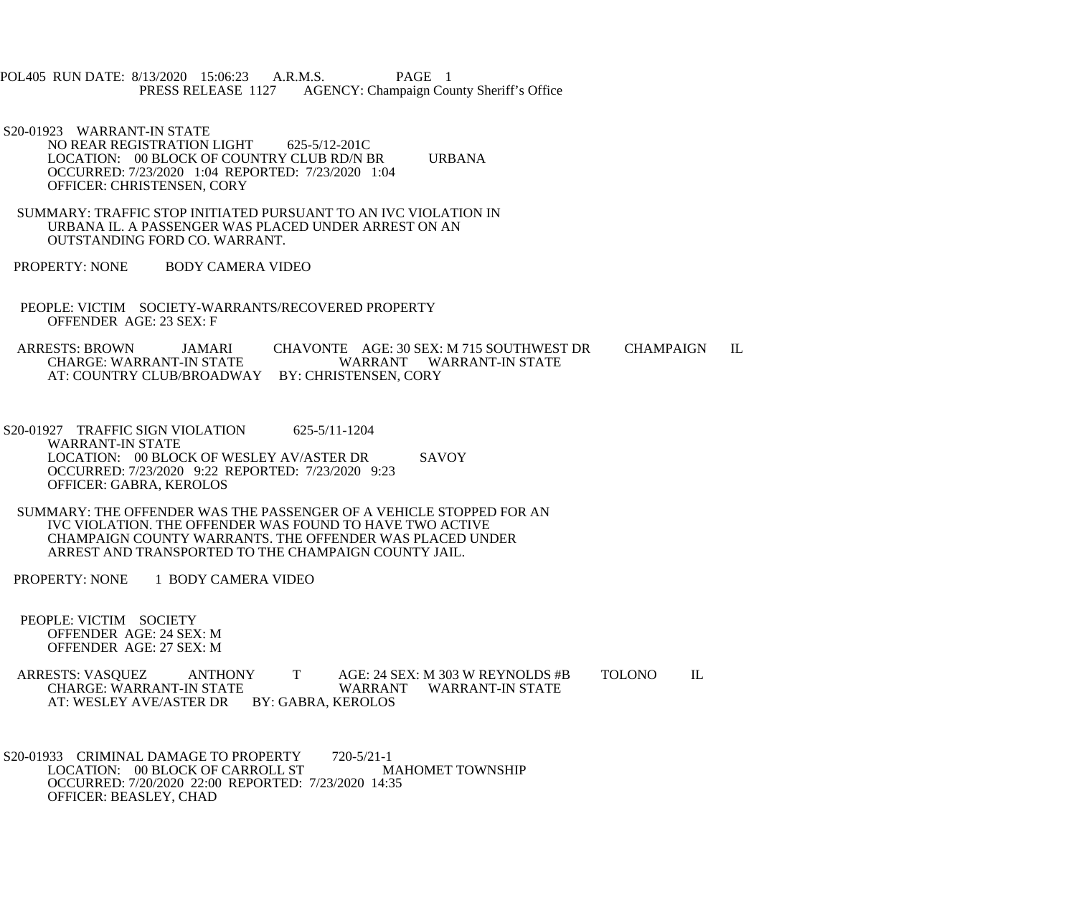POL405 RUN DATE: 8/13/2020 15:06:23 A.R.M.S. PAGE 1<br>PRESS RELEASE 1127 AGENCY: Champaign Cou AGENCY: Champaign County Sheriff's Office

- S20-01923 WARRANT-IN STATE NO REAR REGISTRATION LIGHT 625-5/12-201C LOCATION: 00 BLOCK OF COUNTRY CLUB RD/N BR URBANA OCCURRED: 7/23/2020 1:04 REPORTED: 7/23/2020 1:04 OFFICER: CHRISTENSEN, CORY
- SUMMARY: TRAFFIC STOP INITIATED PURSUANT TO AN IVC VIOLATION IN URBANA IL. A PASSENGER WAS PLACED UNDER ARREST ON AN OUTSTANDING FORD CO. WARRANT.
- PROPERTY: NONE BODY CAMERA VIDEO
- PEOPLE: VICTIM SOCIETY-WARRANTS/RECOVERED PROPERTY OFFENDER AGE: 23 SEX: F
- ARRESTS: BROWN JAMARI CHAVONTE AGE: 30 SEX: M 715 SOUTHWEST DR CHAMPAIGN IL CHARGE: WARRANT WARRANT WARRANT-IN STATE WARRANT WARRANT-IN STATE AT: COUNTRY CLUB/BROADWAY BY: CHRISTENSEN, CORY
- S20-01927 TRAFFIC SIGN VIOLATION 625-5/11-1204 WARRANT-IN STATE LOCATION: 00 BLOCK OF WESLEY AV/ASTER DR SAVOY OCCURRED: 7/23/2020 9:22 REPORTED: 7/23/2020 9:23 OFFICER: GABRA, KEROLOS
- SUMMARY: THE OFFENDER WAS THE PASSENGER OF A VEHICLE STOPPED FOR AN IVC VIOLATION. THE OFFENDER WAS FOUND TO HAVE TWO ACTIVE CHAMPAIGN COUNTY WARRANTS. THE OFFENDER WAS PLACED UNDER ARREST AND TRANSPORTED TO THE CHAMPAIGN COUNTY JAIL.

PROPERTY: NONE 1 BODY CAMERA VIDEO

- PEOPLE: VICTIM SOCIETY OFFENDER AGE: 24 SEX: M OFFENDER AGE: 27 SEX: M
- ARRESTS: VASQUEZ ANTHONY T AGE: 24 SEX: M 303 W REYNOLDS #B TOLONO IL WARRANT WARRANT-IN STATE AT: WESLEY AVE/ASTER DR BY: GABRA, KEROLOS
- S20-01933 CRIMINAL DAMAGE TO PROPERTY 720-5/21-1<br>LOCATION: 00 BLOCK OF CARROLL ST MAHOMET TOWNSHIP LOCATION: 00 BLOCK OF CARROLL ST OCCURRED: 7/20/2020 22:00 REPORTED: 7/23/2020 14:35 OFFICER: BEASLEY, CHAD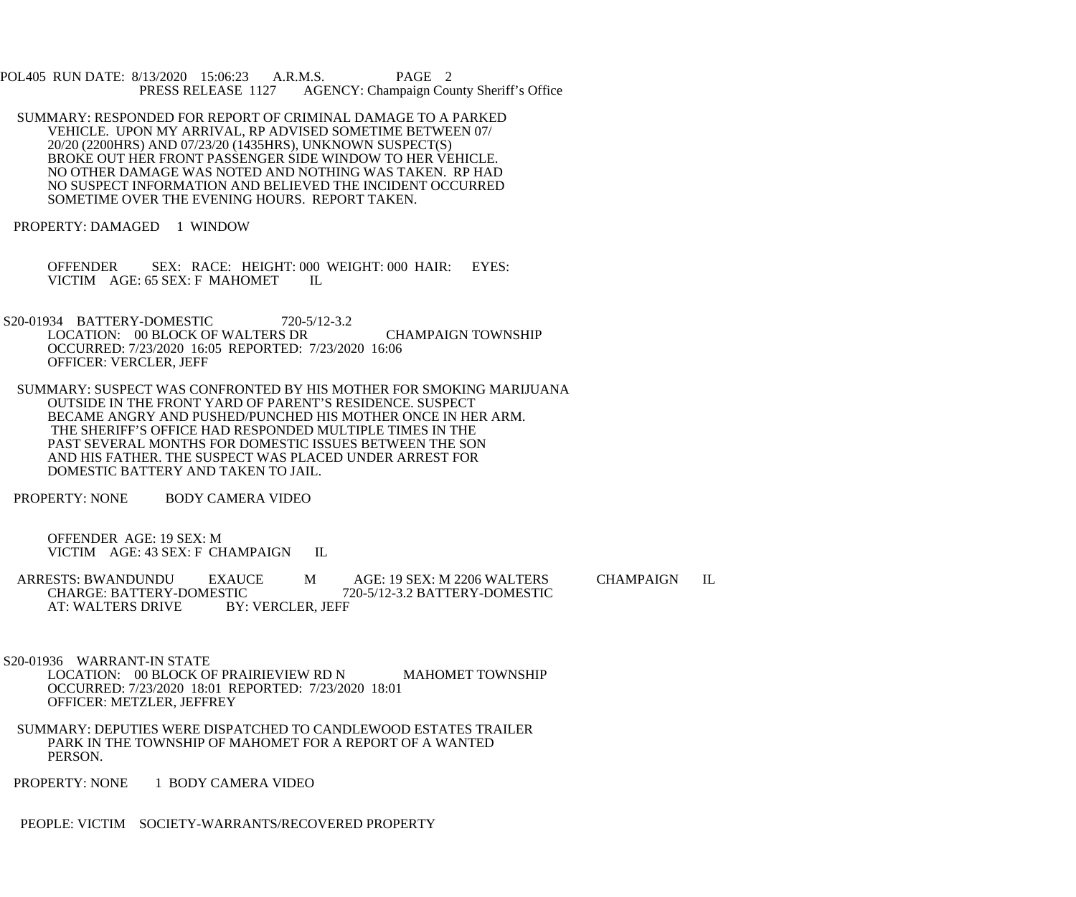POL405 RUN DATE: 8/13/2020 15:06:23 A.R.M.S. PAGE 2 PRESS RELEASE 1127 AGENCY: Champaign County Sheriff's Office

 SUMMARY: RESPONDED FOR REPORT OF CRIMINAL DAMAGE TO A PARKED VEHICLE. UPON MY ARRIVAL, RP ADVISED SOMETIME BETWEEN 07/ 20/20 (2200HRS) AND 07/23/20 (1435HRS), UNKNOWN SUSPECT(S) BROKE OUT HER FRONT PASSENGER SIDE WINDOW TO HER VEHICLE. NO OTHER DAMAGE WAS NOTED AND NOTHING WAS TAKEN. RP HAD NO SUSPECT INFORMATION AND BELIEVED THE INCIDENT OCCURRED SOMETIME OVER THE EVENING HOURS. REPORT TAKEN.

PROPERTY: DAMAGED 1 WINDOW

 OFFENDER SEX: RACE: HEIGHT: 000 WEIGHT: 000 HAIR: EYES: VICTIM AGE: 65 SEX: F MAHOMET IL

- S20-01934 BATTERY-DOMESTIC 720-5/12-3.2 LOCATION: 00 BLOCK OF WALTERS DR CHAMPAIGN TOWNSHIP OCCURRED: 7/23/2020 16:05 REPORTED: 7/23/2020 16:06 OFFICER: VERCLER, JEFF
- SUMMARY: SUSPECT WAS CONFRONTED BY HIS MOTHER FOR SMOKING MARIJUANA OUTSIDE IN THE FRONT YARD OF PARENT'S RESIDENCE. SUSPECT BECAME ANGRY AND PUSHED/PUNCHED HIS MOTHER ONCE IN HER ARM. THE SHERIFF'S OFFICE HAD RESPONDED MULTIPLE TIMES IN THE PAST SEVERAL MONTHS FOR DOMESTIC ISSUES BETWEEN THE SON AND HIS FATHER. THE SUSPECT WAS PLACED UNDER ARREST FOR DOMESTIC BATTERY AND TAKEN TO JAIL.

PROPERTY: NONE BODY CAMERA VIDEO

 OFFENDER AGE: 19 SEX: M VICTIM AGE: 43 SEX: F CHAMPAIGN IL

ARRESTS: BWANDUNDU EXAUCE M AGE: 19 SEX: M 2206 WALTERS CHAMPAIGN IL<br>CHARGE: BATTERY-DOMESTIC 720-5/12-3.2 BATTERY-DOMESTIC TIC 720-5/12-3.2 BATTERY-DOMESTIC<br>BY: VERCLER, JEFF AT: WALTERS DRIVE

 S20-01936 WARRANT-IN STATE LOCATION: 00 BLOCK OF PRAIRIEVIEW RD N MAHOMET TOWNSHIP OCCURRED: 7/23/2020 18:01 REPORTED: 7/23/2020 18:01 OFFICER: METZLER, JEFFREY

- SUMMARY: DEPUTIES WERE DISPATCHED TO CANDLEWOOD ESTATES TRAILER PARK IN THE TOWNSHIP OF MAHOMET FOR A REPORT OF A WANTED PERSON.
- PROPERTY: NONE 1 BODY CAMERA VIDEO

PEOPLE: VICTIM SOCIETY-WARRANTS/RECOVERED PROPERTY